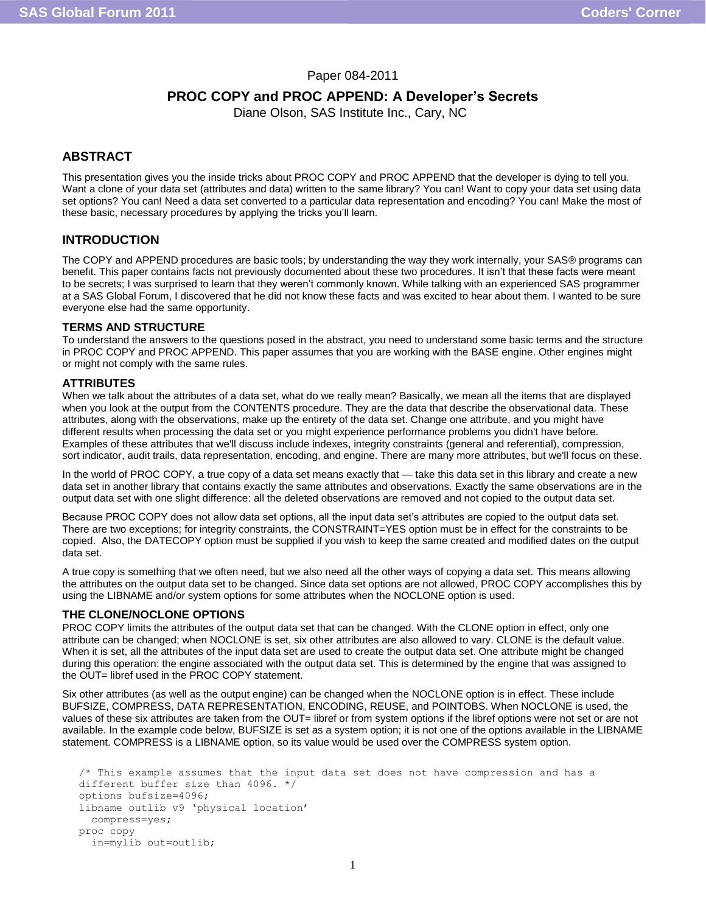## Paper 084-2011

# **PROC COPY and PROC APPEND: A Developer's Secrets**

Diane Olson, SAS Institute Inc., Cary, NC

## **ABSTRACT**

This presentation gives you the inside tricks about PROC COPY and PROC APPEND that the developer is dying to tell you. Want a clone of your data set (attributes and data) written to the same library? You can! Want to copy your data set using data set options? You can! Need a data set converted to a particular data representation and encoding? You can! Make the most of these basic, necessary procedures by applying the tricks you'll learn.

## **INTRODUCTION**

The COPY and APPEND procedures are basic tools; by understanding the way they work internally, your SAS® programs can benefit. This paper contains facts not previously documented about these two procedures. It isn't that these facts were meant to be secrets; I was surprised to learn that they weren't commonly known. While talking with an experienced SAS programmer at a SAS Global Forum, I discovered that he did not know these facts and was excited to hear about them. I wanted to be sure everyone else had the same opportunity.

### **TERMS AND STRUCTURE**

To understand the answers to the questions posed in the abstract, you need to understand some basic terms and the structure in PROC COPY and PROC APPEND. This paper assumes that you are working with the BASE engine. Other engines might or might not comply with the same rules.

## **ATTRIBUTES**

When we talk about the attributes of a data set, what do we really mean? Basically, we mean all the items that are displayed when you look at the output from the CONTENTS procedure. They are the data that describe the observational data. These attributes, along with the observations, make up the entirety of the data set. Change one attribute, and you might have different results when processing the data set or you might experience performance problems you didn't have before. Examples of these attributes that we'll discuss include indexes, integrity constraints (general and referential), compression, sort indicator, audit trails, data representation, encoding, and engine. There are many more attributes, but we'll focus on these.

In the world of PROC COPY, a true copy of a data set means exactly that — take this data set in this library and create a new data set in another library that contains exactly the same attributes and observations. Exactly the same observations are in the output data set with one slight difference: all the deleted observations are removed and not copied to the output data set.

Because PROC COPY does not allow data set options, all the input data set's attributes are copied to the output data set. There are two exceptions; for integrity constraints, the CONSTRAINT=YES option must be in effect for the constraints to be copied. Also, the DATECOPY option must be supplied if you wish to keep the same created and modified dates on the output data set.

A true copy is something that we often need, but we also need all the other ways of copying a data set. This means allowing the attributes on the output data set to be changed. Since data set options are not allowed, PROC COPY accomplishes this by using the LIBNAME and/or system options for some attributes when the NOCLONE option is used.

### **THE CLONE/NOCLONE OPTIONS**

PROC COPY limits the attributes of the output data set that can be changed. With the CLONE option in effect, only one attribute can be changed; when NOCLONE is set, six other attributes are also allowed to vary. CLONE is the default value. When it is set, all the attributes of the input data set are used to create the output data set. One attribute might be changed during this operation: the engine associated with the output data set. This is determined by the engine that was assigned to the OUT= libref used in the PROC COPY statement.

Six other attributes (as well as the output engine) can be changed when the NOCLONE option is in effect. These include BUFSIZE, COMPRESS, DATA REPRESENTATION, ENCODING, REUSE, and POINTOBS. When NOCLONE is used, the values of these six attributes are taken from the OUT= libref or from system options if the libref options were not set or are not available. In the example code below, BUFSIZE is set as a system option; it is not one of the options available in the LIBNAME statement. COMPRESS is a LIBNAME option, so its value would be used over the COMPRESS system option.

```
/* This example assumes that the input data set does not have compression and has a 
different buffer size than 4096. */
options bufsize=4096;
libname outlib v9 'physical location'
   compress=yes;
proc copy 
   in=mylib out=outlib;
```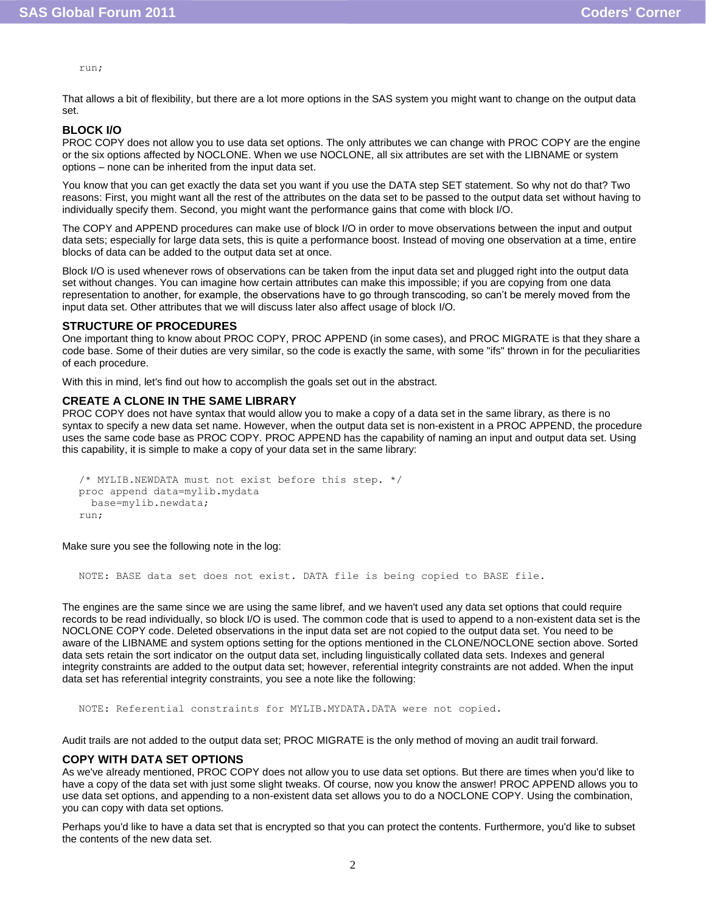run;

That allows a bit of flexibility, but there are a lot more options in the SAS system you might want to change on the output data set.

## **BLOCK I/O**

PROC COPY does not allow you to use data set options. The only attributes we can change with PROC COPY are the engine or the six options affected by NOCLONE. When we use NOCLONE, all six attributes are set with the LIBNAME or system options – none can be inherited from the input data set.

You know that you can get exactly the data set you want if you use the DATA step SET statement. So why not do that? Two reasons: First, you might want all the rest of the attributes on the data set to be passed to the output data set without having to individually specify them. Second, you might want the performance gains that come with block I/O.

The COPY and APPEND procedures can make use of block I/O in order to move observations between the input and output data sets; especially for large data sets, this is quite a performance boost. Instead of moving one observation at a time, entire blocks of data can be added to the output data set at once.

Block I/O is used whenever rows of observations can be taken from the input data set and plugged right into the output data set without changes. You can imagine how certain attributes can make this impossible; if you are copying from one data representation to another, for example, the observations have to go through transcoding, so can't be merely moved from the input data set. Other attributes that we will discuss later also affect usage of block I/O.

### **STRUCTURE OF PROCEDURES**

One important thing to know about PROC COPY, PROC APPEND (in some cases), and PROC MIGRATE is that they share a code base. Some of their duties are very similar, so the code is exactly the same, with some "ifs" thrown in for the peculiarities of each procedure.

With this in mind, let's find out how to accomplish the goals set out in the abstract.

#### **CREATE A CLONE IN THE SAME LIBRARY**

PROC COPY does not have syntax that would allow you to make a copy of a data set in the same library, as there is no syntax to specify a new data set name. However, when the output data set is non-existent in a PROC APPEND, the procedure uses the same code base as PROC COPY. PROC APPEND has the capability of naming an input and output data set. Using this capability, it is simple to make a copy of your data set in the same library:

```
/* MYLIB.NEWDATA must not exist before this step. */
proc append data=mylib.mydata
   base=mylib.newdata; 
run;
```
Make sure you see the following note in the log:

NOTE: BASE data set does not exist. DATA file is being copied to BASE file.

The engines are the same since we are using the same libref, and we haven't used any data set options that could require records to be read individually, so block I/O is used. The common code that is used to append to a non-existent data set is the NOCLONE COPY code. Deleted observations in the input data set are not copied to the output data set. You need to be aware of the LIBNAME and system options setting for the options mentioned in the CLONE/NOCLONE section above. Sorted data sets retain the sort indicator on the output data set, including linguistically collated data sets. Indexes and general integrity constraints are added to the output data set; however, referential integrity constraints are not added. When the input data set has referential integrity constraints, you see a note like the following:

NOTE: Referential constraints for MYLIB.MYDATA.DATA were not copied.

Audit trails are not added to the output data set; PROC MIGRATE is the only method of moving an audit trail forward.

### **COPY WITH DATA SET OPTIONS**

As we've already mentioned, PROC COPY does not allow you to use data set options. But there are times when you'd like to have a copy of the data set with just some slight tweaks. Of course, now you know the answer! PROC APPEND allows you to use data set options, and appending to a non-existent data set allows you to do a NOCLONE COPY. Using the combination, you can copy with data set options.

Perhaps you'd like to have a data set that is encrypted so that you can protect the contents. Furthermore, you'd like to subset the contents of the new data set.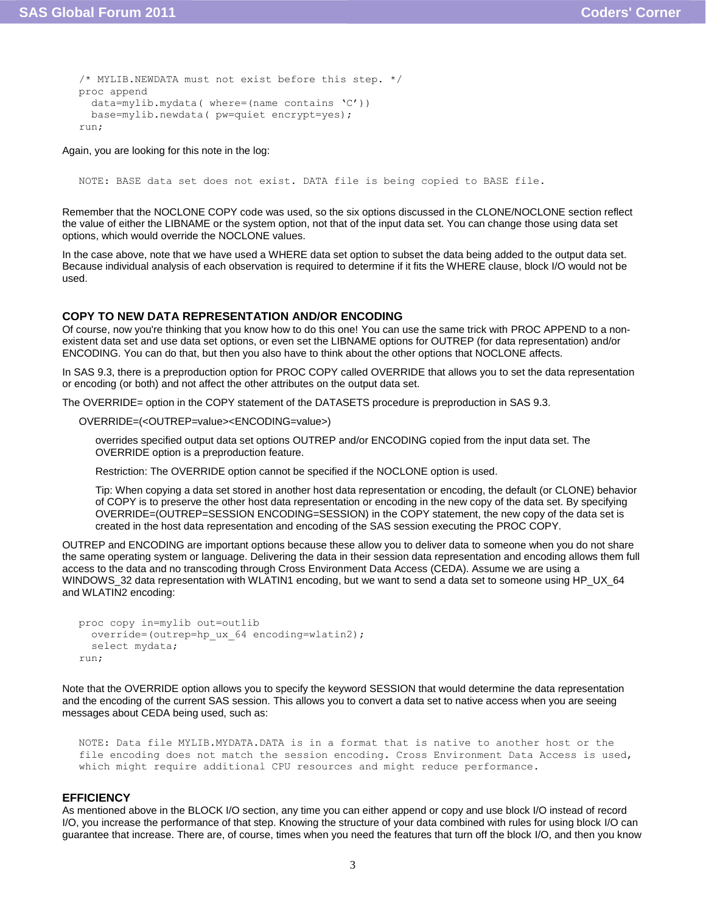```
/* MYLIB.NEWDATA must not exist before this step. */
proc append 
   data=mylib.mydata( where=(name contains 'C'))
   base=mylib.newdata( pw=quiet encrypt=yes);
run;
```
Again, you are looking for this note in the log:

NOTE: BASE data set does not exist. DATA file is being copied to BASE file.

Remember that the NOCLONE COPY code was used, so the six options discussed in the CLONE/NOCLONE section reflect the value of either the LIBNAME or the system option, not that of the input data set. You can change those using data set options, which would override the NOCLONE values.

In the case above, note that we have used a WHERE data set option to subset the data being added to the output data set. Because individual analysis of each observation is required to determine if it fits the WHERE clause, block I/O would not be used.

### **COPY TO NEW DATA REPRESENTATION AND/OR ENCODING**

Of course, now you're thinking that you know how to do this one! You can use the same trick with PROC APPEND to a nonexistent data set and use data set options, or even set the LIBNAME options for OUTREP (for data representation) and/or ENCODING. You can do that, but then you also have to think about the other options that NOCLONE affects.

In SAS 9.3, there is a preproduction option for PROC COPY called OVERRIDE that allows you to set the data representation or encoding (or both) and not affect the other attributes on the output data set.

The OVERRIDE= option in the COPY statement of the DATASETS procedure is preproduction in SAS 9.3.

OVERRIDE=(<OUTREP=value><ENCODING=value>)

overrides specified output data set options OUTREP and/or ENCODING copied from the input data set. The OVERRIDE option is a preproduction feature.

Restriction: The OVERRIDE option cannot be specified if the NOCLONE option is used.

Tip: When copying a data set stored in another host data representation or encoding, the default (or CLONE) behavior of COPY is to preserve the other host data representation or encoding in the new copy of the data set. By specifying OVERRIDE=(OUTREP=SESSION ENCODING=SESSION) in the COPY statement, the new copy of the data set is created in the host data representation and encoding of the SAS session executing the PROC COPY.

OUTREP and ENCODING are important options because these allow you to deliver data to someone when you do not share the same operating system or language. Delivering the data in their session data representation and encoding allows them full access to the data and no transcoding through Cross Environment Data Access (CEDA). Assume we are using a WINDOWS\_32 data representation with WLATIN1 encoding, but we want to send a data set to someone using HP\_UX\_64 and WLATIN2 encoding:

```
proc copy in=mylib out=outlib
   override=(outrep=hp_ux_64 encoding=wlatin2);
   select mydata;
run;
```
Note that the OVERRIDE option allows you to specify the keyword SESSION that would determine the data representation and the encoding of the current SAS session. This allows you to convert a data set to native access when you are seeing messages about CEDA being used, such as:

```
NOTE: Data file MYLIB.MYDATA.DATA is in a format that is native to another host or the 
file encoding does not match the session encoding. Cross Environment Data Access is used, 
which might require additional CPU resources and might reduce performance.
```
#### **EFFICIENCY**

As mentioned above in the BLOCK I/O section, any time you can either append or copy and use block I/O instead of record I/O, you increase the performance of that step. Knowing the structure of your data combined with rules for using block I/O can guarantee that increase. There are, of course, times when you need the features that turn off the block I/O, and then you know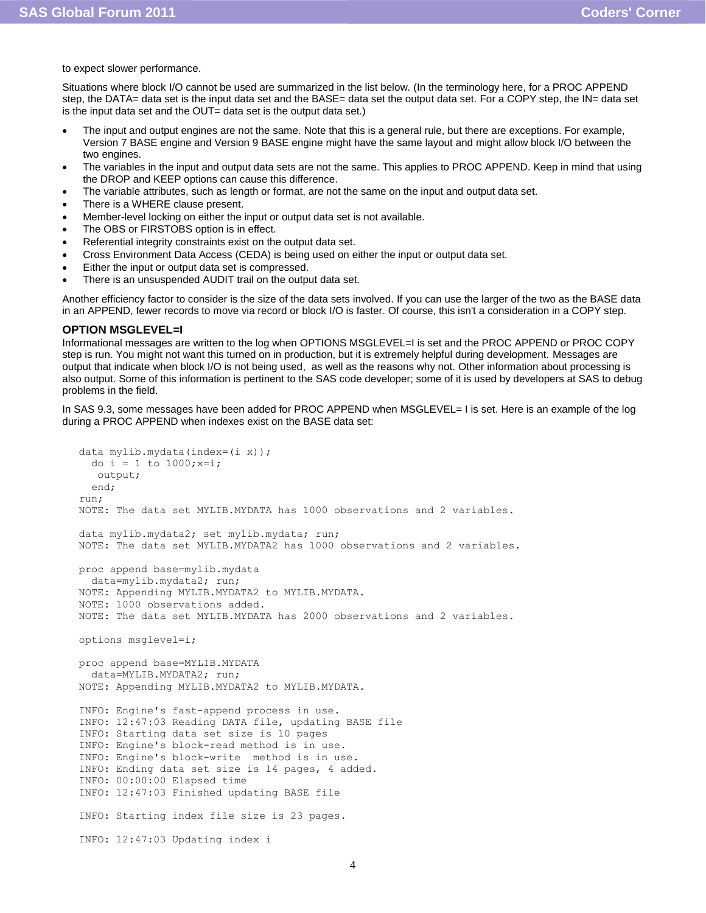to expect slower performance.

Situations where block I/O cannot be used are summarized in the list below. (In the terminology here, for a PROC APPEND step, the DATA= data set is the input data set and the BASE= data set the output data set. For a COPY step, the IN= data set is the input data set and the OUT= data set is the output data set.)

- The input and output engines are not the same. Note that this is a general rule, but there are exceptions. For example, Version 7 BASE engine and Version 9 BASE engine might have the same layout and might allow block I/O between the two engines.
- The variables in the input and output data sets are not the same. This applies to PROC APPEND. Keep in mind that using the DROP and KEEP options can cause this difference.
- The variable attributes, such as length or format, are not the same on the input and output data set.
- There is a WHERE clause present.
- Member-level locking on either the input or output data set is not available.
- The OBS or FIRSTOBS option is in effect.
- Referential integrity constraints exist on the output data set.
- Cross Environment Data Access (CEDA) is being used on either the input or output data set.
- Either the input or output data set is compressed.
- There is an unsuspended AUDIT trail on the output data set.

Another efficiency factor to consider is the size of the data sets involved. If you can use the larger of the two as the BASE data in an APPEND, fewer records to move via record or block I/O is faster. Of course, this isn't a consideration in a COPY step.

#### **OPTION MSGLEVEL=I**

Informational messages are written to the log when OPTIONS MSGLEVEL=I is set and the PROC APPEND or PROC COPY step is run. You might not want this turned on in production, but it is extremely helpful during development. Messages are output that indicate when block I/O is not being used, as well as the reasons why not. Other information about processing is also output. Some of this information is pertinent to the SAS code developer; some of it is used by developers at SAS to debug problems in the field.

In SAS 9.3, some messages have been added for PROC APPEND when MSGLEVEL= I is set. Here is an example of the log during a PROC APPEND when indexes exist on the BASE data set:

```
data mylib.mydata(index=(i x)); 
 do i = 1 to 1000; x=i; output;
  end;
run;
NOTE: The data set MYLIB.MYDATA has 1000 observations and 2 variables.
data mylib.mydata2; set mylib.mydata; run;
NOTE: The data set MYLIB.MYDATA2 has 1000 observations and 2 variables.
proc append base=mylib.mydata
   data=mylib.mydata2; run;
NOTE: Appending MYLIB.MYDATA2 to MYLIB.MYDATA.
NOTE: 1000 observations added.
NOTE: The data set MYLIB.MYDATA has 2000 observations and 2 variables.
options msglevel=i;
proc append base=MYLIB.MYDATA
   data=MYLIB.MYDATA2; run;
NOTE: Appending MYLIB.MYDATA2 to MYLIB.MYDATA.
INFO: Engine's fast-append process in use.
INFO: 12:47:03 Reading DATA file, updating BASE file
INFO: Starting data set size is 10 pages
INFO: Engine's block-read method is in use.
INFO: Engine's block-write method is in use.
INFO: Ending data set size is 14 pages, 4 added.
INFO: 00:00:00 Elapsed time
INFO: 12:47:03 Finished updating BASE file
INFO: Starting index file size is 23 pages.
INFO: 12:47:03 Updating index i
```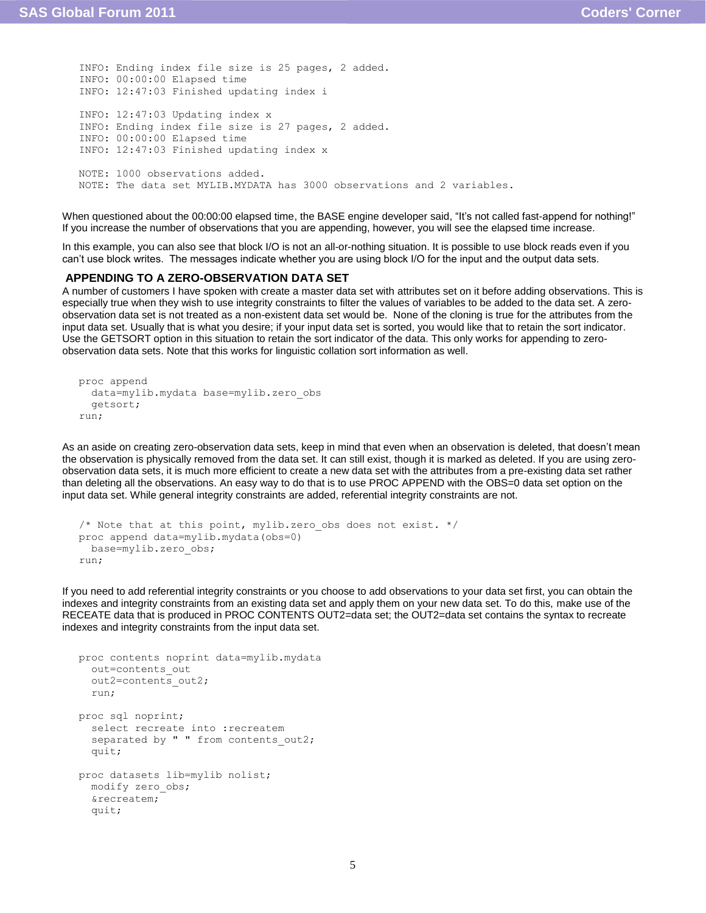```
INFO: Ending index file size is 25 pages, 2 added.
INFO: 00:00:00 Elapsed time
INFO: 12:47:03 Finished updating index i
INFO: 12:47:03 Updating index x
INFO: Ending index file size is 27 pages, 2 added.
INFO: 00:00:00 Elapsed time
INFO: 12:47:03 Finished updating index x
NOTE: 1000 observations added.
NOTE: The data set MYLIB.MYDATA has 3000 observations and 2 variables.
```
When questioned about the 00:00:00 elapsed time, the BASE engine developer said, "It's not called fast-append for nothing!" If you increase the number of observations that you are appending, however, you will see the elapsed time increase.

In this example, you can also see that block I/O is not an all-or-nothing situation. It is possible to use block reads even if you can't use block writes. The messages indicate whether you are using block I/O for the input and the output data sets.

## **APPENDING TO A ZERO-OBSERVATION DATA SET**

A number of customers I have spoken with create a master data set with attributes set on it before adding observations. This is especially true when they wish to use integrity constraints to filter the values of variables to be added to the data set. A zeroobservation data set is not treated as a non-existent data set would be. None of the cloning is true for the attributes from the input data set. Usually that is what you desire; if your input data set is sorted, you would like that to retain the sort indicator. Use the GETSORT option in this situation to retain the sort indicator of the data. This only works for appending to zeroobservation data sets. Note that this works for linguistic collation sort information as well.

```
proc append 
   data=mylib.mydata base=mylib.zero_obs
   getsort;
run;
```
As an aside on creating zero-observation data sets, keep in mind that even when an observation is deleted, that doesn't mean the observation is physically removed from the data set. It can still exist, though it is marked as deleted. If you are using zeroobservation data sets, it is much more efficient to create a new data set with the attributes from a pre-existing data set rather than deleting all the observations. An easy way to do that is to use PROC APPEND with the OBS=0 data set option on the input data set. While general integrity constraints are added, referential integrity constraints are not.

```
/* Note that at this point, mylib.zero obs does not exist. */
proc append data=mylib.mydata(obs=0)
  base=mylib.zero_obs;
run;
```
If you need to add referential integrity constraints or you choose to add observations to your data set first, you can obtain the indexes and integrity constraints from an existing data set and apply them on your new data set. To do this, make use of the RECEATE data that is produced in PROC CONTENTS OUT2=data set; the OUT2=data set contains the syntax to recreate indexes and integrity constraints from the input data set.

```
proc contents noprint data=mylib.mydata
   out=contents_out 
  out2=contents_out2;
   run;
proc sql noprint;
  select recreate into : recreatem
  separated by " " from contents out2;
   quit;
proc datasets lib=mylib nolist;
   modify zero_obs;
   &recreatem;
   quit;
```